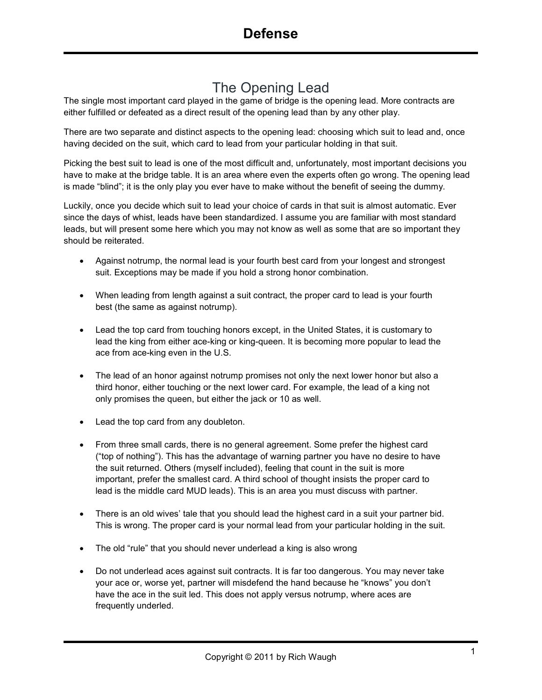## The Opening Lead

The single most important card played in the game of bridge is the opening lead. More contracts are either fulfilled or defeated as a direct result of the opening lead than by any other play.

There are two separate and distinct aspects to the opening lead: choosing which suit to lead and, once having decided on the suit, which card to lead from your particular holding in that suit.

Picking the best suit to lead is one of the most difficult and, unfortunately, most important decisions you have to make at the bridge table. It is an area where even the experts often go wrong. The opening lead is made "blind"; it is the only play you ever have to make without the benefit of seeing the dummy.

Luckily, once you decide which suit to lead your choice of cards in that suit is almost automatic. Ever since the days of whist, leads have been standardized. I assume you are familiar with most standard leads, but will present some here which you may not know as well as some that are so important they should be reiterated.

- Against notrump, the normal lead is your fourth best card from your longest and strongest suit. Exceptions may be made if you hold a strong honor combination.
- When leading from length against a suit contract, the proper card to lead is your fourth best (the same as against notrump).
- Lead the top card from touching honors except, in the United States, it is customary to lead the king from either ace-king or king-queen. It is becoming more popular to lead the ace from ace-king even in the U.S.
- The lead of an honor against notrump promises not only the next lower honor but also a third honor, either touching or the next lower card. For example, the lead of a king not only promises the queen, but either the jack or 10 as well.
- Lead the top card from any doubleton.
- From three small cards, there is no general agreement. Some prefer the highest card ("top of nothing"). This has the advantage of warning partner you have no desire to have the suit returned. Others (myself included), feeling that count in the suit is more important, prefer the smallest card. A third school of thought insists the proper card to lead is the middle card MUD leads). This is an area you must discuss with partner.
- There is an old wives' tale that you should lead the highest card in a suit your partner bid. This is wrong. The proper card is your normal lead from your particular holding in the suit.
- The old "rule" that you should never underlead a king is also wrong
- Do not underlead aces against suit contracts. It is far too dangerous. You may never take your ace or, worse yet, partner will misdefend the hand because he "knows" you don't have the ace in the suit led. This does not apply versus notrump, where aces are frequently underled.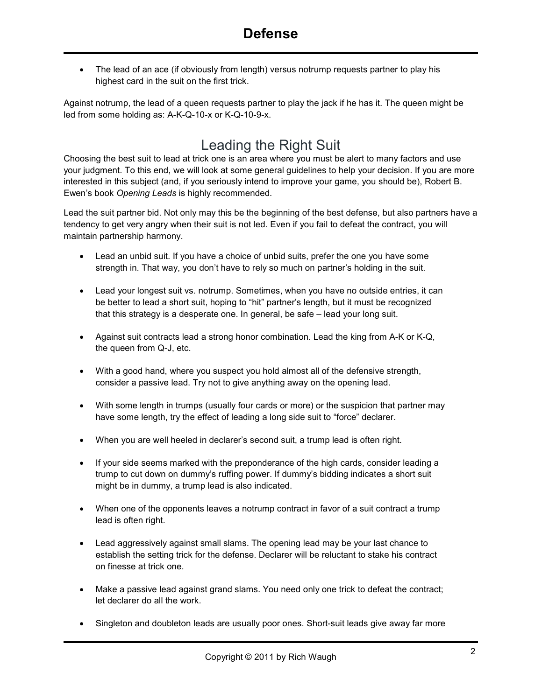• The lead of an ace (if obviously from length) versus notrump requests partner to play his highest card in the suit on the first trick.

Against notrump, the lead of a queen requests partner to play the jack if he has it. The queen might be led from some holding as: A-K-Q-10-x or K-Q-10-9-x.

## Leading the Right Suit

Choosing the best suit to lead at trick one is an area where you must be alert to many factors and use your judgment. To this end, we will look at some general guidelines to help your decision. If you are more interested in this subject (and, if you seriously intend to improve your game, you should be), Robert B. Ewen's book *Opening Leads* is highly recommended.

Lead the suit partner bid. Not only may this be the beginning of the best defense, but also partners have a tendency to get very angry when their suit is not led. Even if you fail to defeat the contract, you will maintain partnership harmony.

- Lead an unbid suit. If you have a choice of unbid suits, prefer the one you have some strength in. That way, you don't have to rely so much on partner's holding in the suit.
- Lead your longest suit vs. notrump. Sometimes, when you have no outside entries, it can be better to lead a short suit, hoping to "hit" partner's length, but it must be recognized that this strategy is a desperate one. In general, be safe – lead your long suit.
- Against suit contracts lead a strong honor combination. Lead the king from A-K or K-Q, the queen from Q-J, etc.
- With a good hand, where you suspect you hold almost all of the defensive strength, consider a passive lead. Try not to give anything away on the opening lead.
- With some length in trumps (usually four cards or more) or the suspicion that partner may have some length, try the effect of leading a long side suit to "force" declarer.
- When you are well heeled in declarer's second suit, a trump lead is often right.
- If your side seems marked with the preponderance of the high cards, consider leading a trump to cut down on dummy's ruffing power. If dummy's bidding indicates a short suit might be in dummy, a trump lead is also indicated.
- When one of the opponents leaves a notrump contract in favor of a suit contract a trump lead is often right.
- Lead aggressively against small slams. The opening lead may be your last chance to establish the setting trick for the defense. Declarer will be reluctant to stake his contract on finesse at trick one.
- Make a passive lead against grand slams. You need only one trick to defeat the contract; let declarer do all the work.
- Singleton and doubleton leads are usually poor ones. Short-suit leads give away far more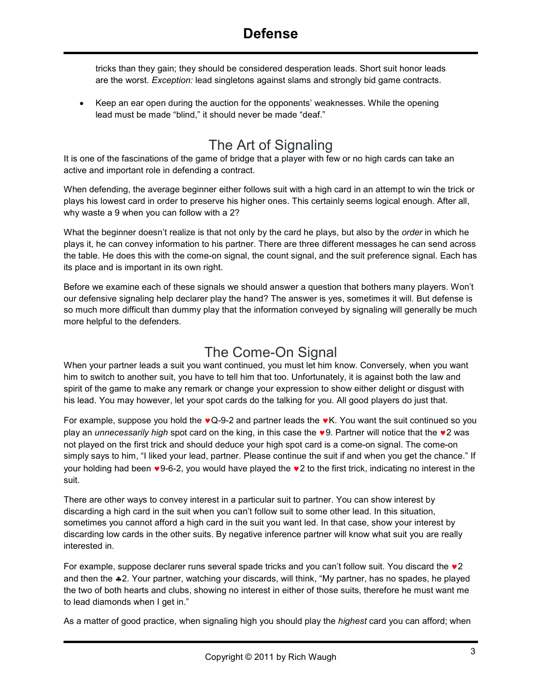tricks than they gain; they should be considered desperation leads. Short suit honor leads are the worst. *Exception:* lead singletons against slams and strongly bid game contracts.

• Keep an ear open during the auction for the opponents' weaknesses. While the opening lead must be made "blind," it should never be made "deaf."

## The Art of Signaling

It is one of the fascinations of the game of bridge that a player with few or no high cards can take an active and important role in defending a contract.

When defending, the average beginner either follows suit with a high card in an attempt to win the trick or plays his lowest card in order to preserve his higher ones. This certainly seems logical enough. After all, why waste a 9 when you can follow with a 2?

What the beginner doesn't realize is that not only by the card he plays, but also by the *order* in which he plays it, he can convey information to his partner. There are three different messages he can send across the table. He does this with the come-on signal, the count signal, and the suit preference signal. Each has its place and is important in its own right.

Before we examine each of these signals we should answer a question that bothers many players. Won't our defensive signaling help declarer play the hand? The answer is yes, sometimes it will. But defense is so much more difficult than dummy play that the information conveyed by signaling will generally be much more helpful to the defenders.

#### The Come-On Signal

When your partner leads a suit you want continued, you must let him know. Conversely, when you want him to switch to another suit, you have to tell him that too. Unfortunately, it is against both the law and spirit of the game to make any remark or change your expression to show either delight or disgust with his lead. You may however, let your spot cards do the talking for you. All good players do just that.

For example, suppose you hold the  $\bullet$  Q-9-2 and partner leads the  $\bullet$ K. You want the suit continued so you play an *unnecessarily high* spot card on the king, in this case the ♥9. Partner will notice that the ♥2 was not played on the first trick and should deduce your high spot card is a come-on signal. The come-on simply says to him, "I liked your lead, partner. Please continue the suit if and when you get the chance." If your holding had been ♥9-6-2, you would have played the ♥2 to the first trick, indicating no interest in the suit.

There are other ways to convey interest in a particular suit to partner. You can show interest by discarding a high card in the suit when you can't follow suit to some other lead. In this situation, sometimes you cannot afford a high card in the suit you want led. In that case, show your interest by discarding low cards in the other suits. By negative inference partner will know what suit you are really interested in.

For example, suppose declarer runs several spade tricks and you can't follow suit. You discard the  $\vee$ 2 and then the ♣2. Your partner, watching your discards, will think, "My partner, has no spades, he played the two of both hearts and clubs, showing no interest in either of those suits, therefore he must want me to lead diamonds when I get in."

As a matter of good practice, when signaling high you should play the *highest* card you can afford; when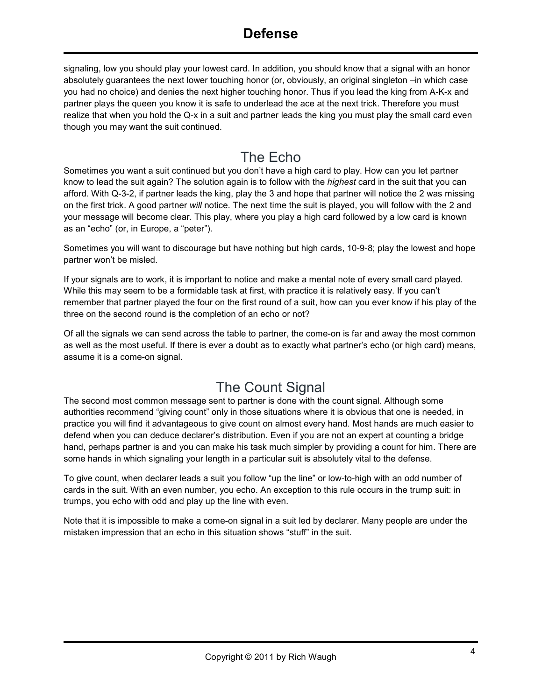#### **Defense**

signaling, low you should play your lowest card. In addition, you should know that a signal with an honor absolutely guarantees the next lower touching honor (or, obviously, an original singleton –in which case you had no choice) and denies the next higher touching honor. Thus if you lead the king from A-K-x and partner plays the queen you know it is safe to underlead the ace at the next trick. Therefore you must realize that when you hold the Q-x in a suit and partner leads the king you must play the small card even though you may want the suit continued.

#### The Echo

Sometimes you want a suit continued but you don't have a high card to play. How can you let partner know to lead the suit again? The solution again is to follow with the *highest* card in the suit that you can afford. With Q-3-2, if partner leads the king, play the 3 and hope that partner will notice the 2 was missing on the first trick. A good partner *will* notice. The next time the suit is played, you will follow with the 2 and your message will become clear. This play, where you play a high card followed by a low card is known as an "echo" (or, in Europe, a "peter").

Sometimes you will want to discourage but have nothing but high cards, 10-9-8; play the lowest and hope partner won't be misled.

If your signals are to work, it is important to notice and make a mental note of every small card played. While this may seem to be a formidable task at first, with practice it is relatively easy. If you can't remember that partner played the four on the first round of a suit, how can you ever know if his play of the three on the second round is the completion of an echo or not?

Of all the signals we can send across the table to partner, the come-on is far and away the most common as well as the most useful. If there is ever a doubt as to exactly what partner's echo (or high card) means, assume it is a come-on signal.

## The Count Signal

The second most common message sent to partner is done with the count signal. Although some authorities recommend "giving count" only in those situations where it is obvious that one is needed, in practice you will find it advantageous to give count on almost every hand. Most hands are much easier to defend when you can deduce declarer's distribution. Even if you are not an expert at counting a bridge hand, perhaps partner is and you can make his task much simpler by providing a count for him. There are some hands in which signaling your length in a particular suit is absolutely vital to the defense.

To give count, when declarer leads a suit you follow "up the line" or low-to-high with an odd number of cards in the suit. With an even number, you echo. An exception to this rule occurs in the trump suit: in trumps, you echo with odd and play up the line with even.

Note that it is impossible to make a come-on signal in a suit led by declarer. Many people are under the mistaken impression that an echo in this situation shows "stuff" in the suit.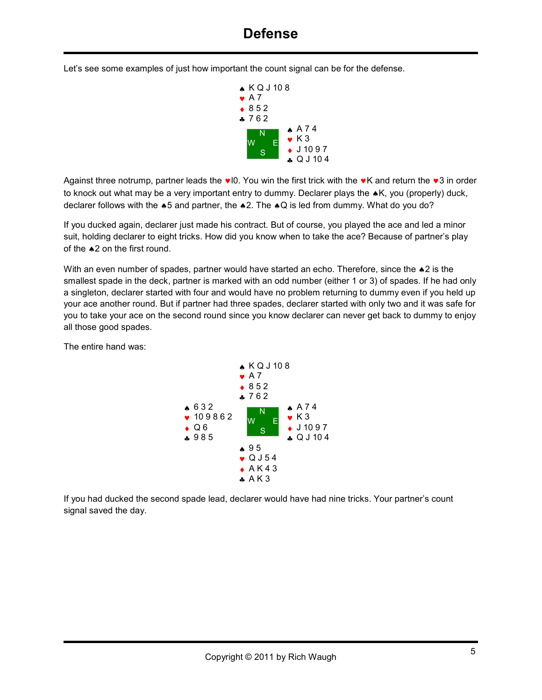Let's see some examples of just how important the count signal can be for the defense.



Against three notrump, partner leads the  $\vee$  IO. You win the first trick with the  $\vee$ K and return the  $\vee$ 3 in order to knock out what may be a very important entry to dummy. Declarer plays the ♠K, you (properly) duck, declarer follows with the ♠5 and partner, the ♠2. The ♠Q is led from dummy. What do you do?

If you ducked again, declarer just made his contract. But of course, you played the ace and led a minor suit, holding declarer to eight tricks. How did you know when to take the ace? Because of partner's play of the ♠2 on the first round.

With an even number of spades, partner would have started an echo. Therefore, since the ▲2 is the smallest spade in the deck, partner is marked with an odd number (either 1 or 3) of spades. If he had only a singleton, declarer started with four and would have no problem returning to dummy even if you held up your ace another round. But if partner had three spades, declarer started with only two and it was safe for you to take your ace on the second round since you know declarer can never get back to dummy to enjoy all those good spades.

The entire hand was:



If you had ducked the second spade lead, declarer would have had nine tricks. Your partner's count signal saved the day.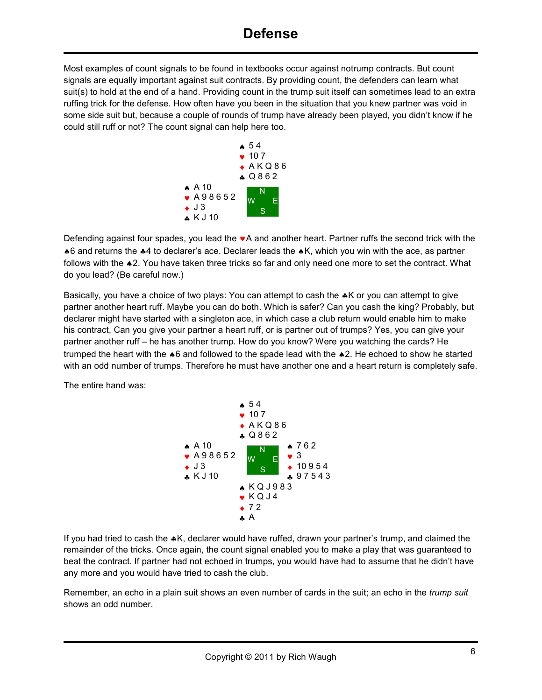Most examples of count signals to be found in textbooks occur against notrump contracts. But count signals are equally important against suit contracts. By providing count, the defenders can learn what suit(s) to hold at the end of a hand. Providing count in the trump suit itself can sometimes lead to an extra ruffing trick for the defense. How often have you been in the situation that you knew partner was void in some side suit but, because a couple of rounds of trump have already been played, you didn't know if he could still ruff or not? The count signal can help here too.



Defending against four spades, you lead the  $\bullet$  A and another heart. Partner ruffs the second trick with the ♠6 and returns the ♣4 to declarer's ace. Declarer leads the ♠K, which you win with the ace, as partner follows with the ♠2. You have taken three tricks so far and only need one more to set the contract. What do you lead? (Be careful now.)

Basically, you have a choice of two plays: You can attempt to cash the ♣K or you can attempt to give partner another heart ruff. Maybe you can do both. Which is safer? Can you cash the king? Probably, but declarer might have started with a singleton ace, in which case a club return would enable him to make his contract, Can you give your partner a heart ruff, or is partner out of trumps? Yes, you can give your partner another ruff – he has another trump. How do you know? Were you watching the cards? He trumped the heart with the ♠6 and followed to the spade lead with the ♠2. He echoed to show he started with an odd number of trumps. Therefore he must have another one and a heart return is completely safe.

The entire hand was:



If you had tried to cash the ♣K, declarer would have ruffed, drawn your partner's trump, and claimed the remainder of the tricks. Once again, the count signal enabled you to make a play that was guaranteed to beat the contract. If partner had not echoed in trumps, you would have had to assume that he didn't have any more and you would have tried to cash the club.

Remember, an echo in a plain suit shows an even number of cards in the suit; an echo in the *trump suit*  shows an odd number.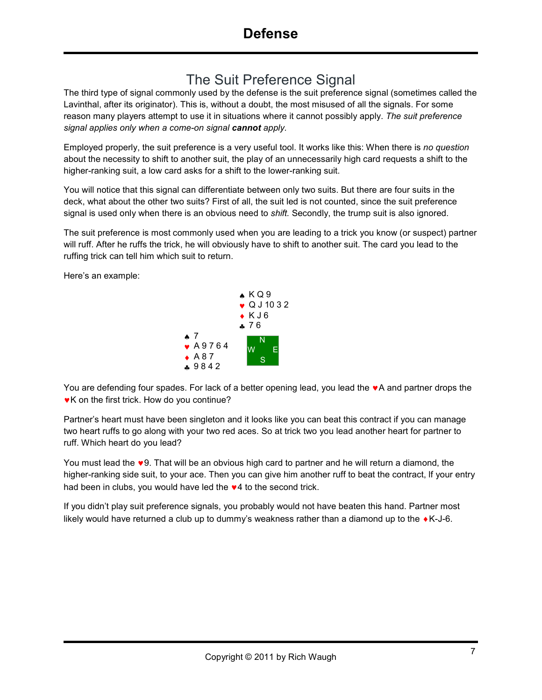## The Suit Preference Signal

The third type of signal commonly used by the defense is the suit preference signal (sometimes called the Lavinthal, after its originator). This is, without a doubt, the most misused of all the signals. For some reason many players attempt to use it in situations where it cannot possibly apply. *The suit preference signal applies only when a come-on signal cannot apply.* 

Employed properly, the suit preference is a very useful tool. It works like this: When there is *no question*  about the necessity to shift to another suit, the play of an unnecessarily high card requests a shift to the higher-ranking suit, a low card asks for a shift to the lower-ranking suit.

You will notice that this signal can differentiate between only two suits. But there are four suits in the deck, what about the other two suits? First of all, the suit led is not counted, since the suit preference signal is used only when there is an obvious need to *shift.* Secondly, the trump suit is also ignored.

The suit preference is most commonly used when you are leading to a trick you know (or suspect) partner will ruff. After he ruffs the trick, he will obviously have to shift to another suit. The card you lead to the ruffing trick can tell him which suit to return.

Here's an example:



You are defending four spades. For lack of a better opening lead, you lead the ♥A and partner drops the ♥K on the first trick. How do you continue?

Partner's heart must have been singleton and it looks like you can beat this contract if you can manage two heart ruffs to go along with your two red aces. So at trick two you lead another heart for partner to ruff. Which heart do you lead?

You must lead the ♥9. That will be an obvious high card to partner and he will return a diamond, the higher-ranking side suit, to your ace. Then you can give him another ruff to beat the contract, lf your entry had been in clubs, you would have led the  $\vee$ 4 to the second trick.

If you didn't play suit preference signals, you probably would not have beaten this hand. Partner most likely would have returned a club up to dummy's weakness rather than a diamond up to the  $\bullet$  K-J-6.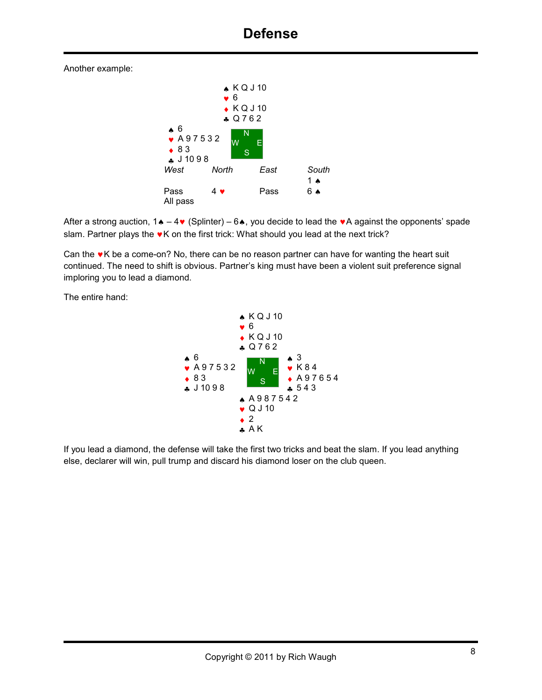Another example:



After a strong auction,  $1\bullet - 4\bullet$  (Splinter) – 6 $\bullet$ , you decide to lead the  $\bullet$  A against the opponents' spade slam. Partner plays the  $\bullet$ K on the first trick: What should you lead at the next trick?

Can the  $\cdot$ K be a come-on? No, there can be no reason partner can have for wanting the heart suit continued. The need to shift is obvious. Partner's king must have been a violent suit preference signal imploring you to lead a diamond.

The entire hand:



If you lead a diamond, the defense will take the first two tricks and beat the slam. If you lead anything else, declarer will win, pull trump and discard his diamond loser on the club queen.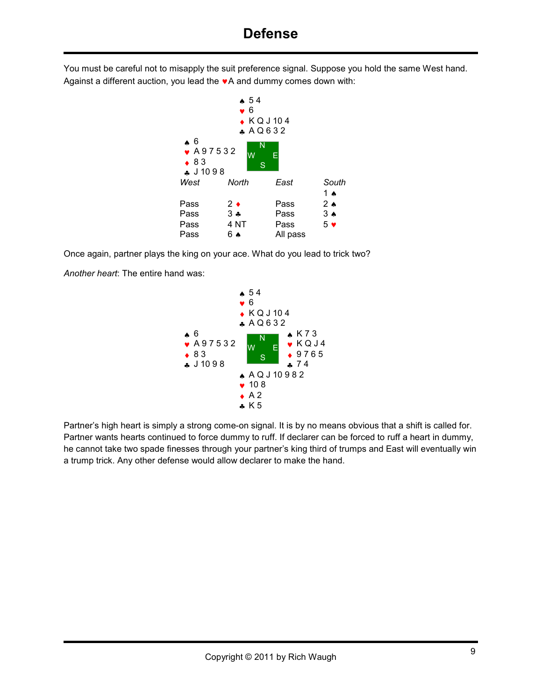You must be careful not to misapply the suit preference signal. Suppose you hold the same West hand. Against a different auction, you lead the ♥A and dummy comes down with:



Once again, partner plays the king on your ace. What do you lead to trick two?

*Another heart*: The entire hand was:



Partner's high heart is simply a strong come-on signal. It is by no means obvious that a shift is called for. Partner wants hearts continued to force dummy to ruff. If declarer can be forced to ruff a heart in dummy, he cannot take two spade finesses through your partner's king third of trumps and East will eventually win a trump trick. Any other defense would allow declarer to make the hand.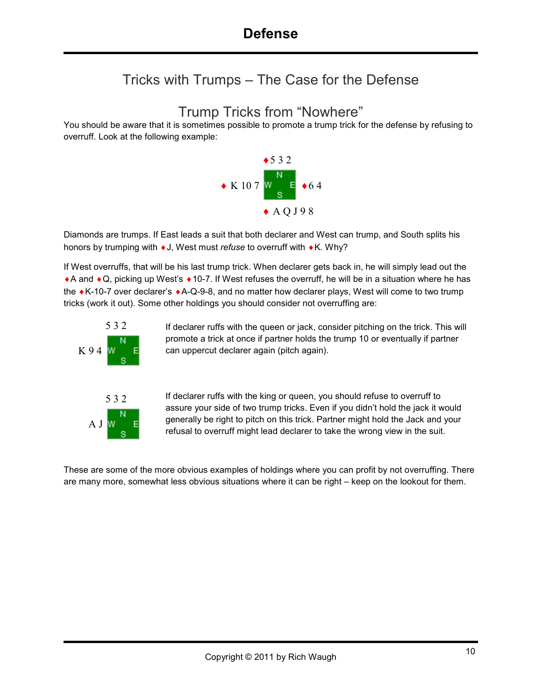#### Tricks with Trumps – The Case for the Defense

#### Trump Tricks from "Nowhere"

You should be aware that it is sometimes possible to promote a trump trick for the defense by refusing to overruff. Look at the following example:



Diamonds are trumps. If East leads a suit that both declarer and West can trump, and South splits his honors by trumping with ♦J, West must *refuse* to overruff with ♦K. Why?

If West overruffs, that will be his last trump trick. When declarer gets back in, he will simply lead out the ♦A and ♦Q, picking up West's ♦10-7. If West refuses the overruff, he will be in a situation where he has the ♦K-10-7 over declarer's ♦A-Q-9-8, and no matter how declarer plays, West will come to two trump tricks (work it out). Some other holdings you should consider not overruffing are:



If declarer ruffs with the queen or jack, consider pitching on the trick. This will promote a trick at once if partner holds the trump 10 or eventually if partner can uppercut declarer again (pitch again).

If declarer ruffs with the king or queen, you should refuse to overruff to assure your side of two trump tricks. Even if you didn't hold the jack it would generally be right to pitch on this trick. Partner might hold the Jack and your refusal to overruff might lead declarer to take the wrong view in the suit.

These are some of the more obvious examples of holdings where you can profit by not overruffing. There are many more, somewhat less obvious situations where it can be right – keep on the lookout for them.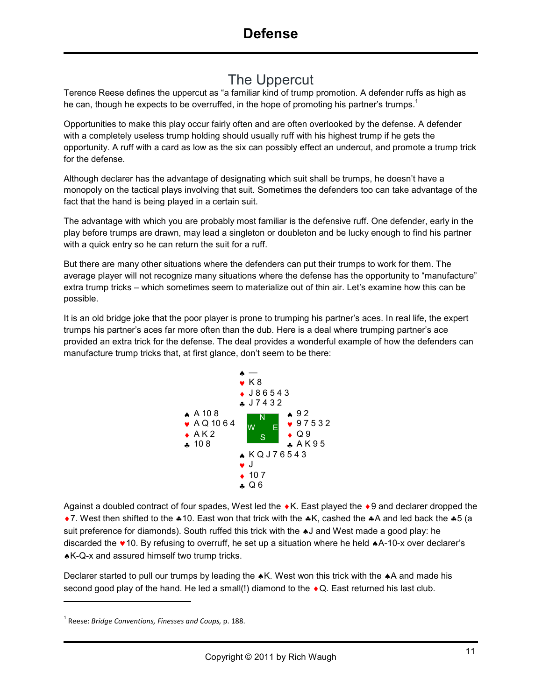#### The Uppercut

Terence Reese defines the uppercut as "a familiar kind of trump promotion. A defender ruffs as high as he can, though he expects to be overruffed, in the hope of promoting his partner's trumps.<sup>1</sup>

Opportunities to make this play occur fairly often and are often overlooked by the defense. A defender with a completely useless trump holding should usually ruff with his highest trump if he gets the opportunity. A ruff with a card as low as the six can possibly effect an undercut, and promote a trump trick for the defense.

Although declarer has the advantage of designating which suit shall be trumps, he doesn't have a monopoly on the tactical plays involving that suit. Sometimes the defenders too can take advantage of the fact that the hand is being played in a certain suit.

The advantage with which you are probably most familiar is the defensive ruff. One defender, early in the play before trumps are drawn, may lead a singleton or doubleton and be lucky enough to find his partner with a quick entry so he can return the suit for a ruff.

But there are many other situations where the defenders can put their trumps to work for them. The average player will not recognize many situations where the defense has the opportunity to "manufacture" extra trump tricks – which sometimes seem to materialize out of thin air. Let's examine how this can be possible.

It is an old bridge joke that the poor player is prone to trumping his partner's aces. In real life, the expert trumps his partner's aces far more often than the dub. Here is a deal where trumping partner's ace provided an extra trick for the defense. The deal provides a wonderful example of how the defenders can manufacture trump tricks that, at first glance, don't seem to be there:



Against a doubled contract of four spades, West led the ♦K. East played the ♦9 and declarer dropped the ♦7. West then shifted to the ♣10. East won that trick with the ♣K, cashed the ♣A and led back the ♣5 (a suit preference for diamonds). South ruffed this trick with the ♠J and West made a good play: he discarded the ♥10. By refusing to overruff, he set up a situation where he held ♠A-10-x over declarer's ♠K-Q-x and assured himself two trump tricks.

Declarer started to pull our trumps by leading the ★K. West won this trick with the ★A and made his second good play of the hand. He led a small(!) diamond to the ◆Q. East returned his last club.

<u>.</u>

<sup>1</sup> Reese: *Bridge Conventions, Finesses and Coups,* p. 188.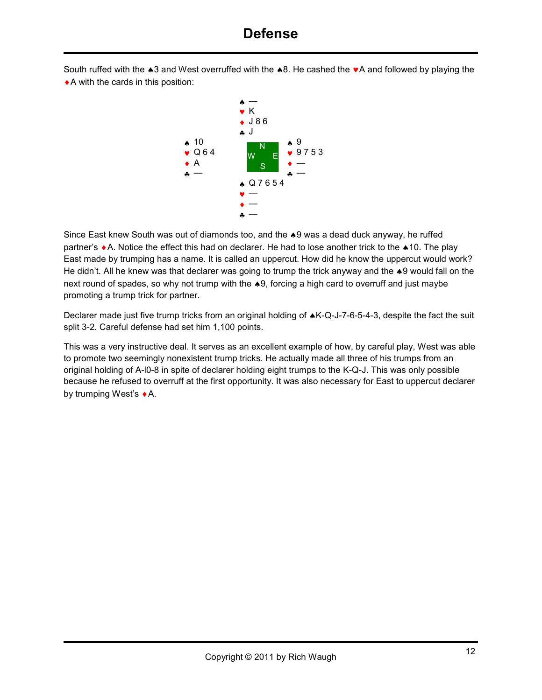South ruffed with the ♠3 and West overruffed with the ♠8. He cashed the ♥A and followed by playing the  $\triangle$  A with the cards in this position:



Since East knew South was out of diamonds too, and the ♠9 was a dead duck anyway, he ruffed partner's ♦A. Notice the effect this had on declarer. He had to lose another trick to the ♠10. The play East made by trumping has a name. It is called an uppercut. How did he know the uppercut would work? He didn't. All he knew was that declarer was going to trump the trick anyway and the ♠9 would fall on the next round of spades, so why not trump with the ♠9, forcing a high card to overruff and just maybe promoting a trump trick for partner.

Declarer made just five trump tricks from an original holding of ♠K-Q-J-7-6-5-4-3, despite the fact the suit split 3-2. Careful defense had set him 1,100 points.

This was a very instructive deal. It serves as an excellent example of how, by careful play, West was able to promote two seemingly nonexistent trump tricks. He actually made all three of his trumps from an original holding of A-l0-8 in spite of declarer holding eight trumps to the K-Q-J. This was only possible because he refused to overruff at the first opportunity. It was also necessary for East to uppercut declarer by trumping West's ♦A.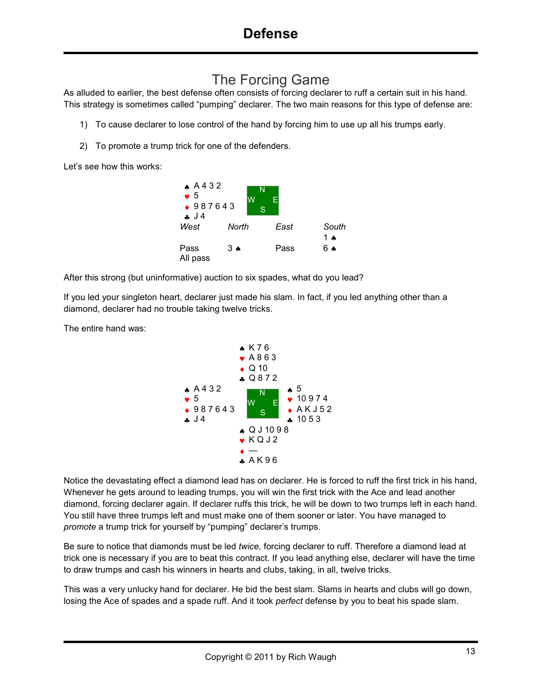### The Forcing Game

As alluded to earlier, the best defense often consists of forcing declarer to ruff a certain suit in his hand. This strategy is sometimes called "pumping" declarer. The two main reasons for this type of defense are:

- 1) To cause declarer to lose control of the hand by forcing him to use up all his trumps early.
- 2) To promote a trump trick for one of the defenders.

Let's see how this works:



After this strong (but uninformative) auction to six spades, what do you lead?

If you led your singleton heart, declarer just made his slam. In fact, if you led anything other than a diamond, declarer had no trouble taking twelve tricks.

The entire hand was:



Notice the devastating effect a diamond lead has on declarer. He is forced to ruff the first trick in his hand, Whenever he gets around to leading trumps, you will win the first trick with the Ace and lead another diamond, forcing declarer again. If declarer ruffs this trick, he will be down to two trumps left in each hand. You still have three trumps left and must make one of them sooner or later. You have managed to *promote* a trump trick for yourself by "pumping" declarer's trumps.

Be sure to notice that diamonds must be led *twice,* forcing declarer to ruff. Therefore a diamond lead at trick one is necessary if you are to beat this contract. If you lead anything else, declarer will have the time to draw trumps and cash his winners in hearts and clubs, taking, in all, twelve tricks.

This was a very unlucky hand for declarer. He bid the best slam. Slams in hearts and clubs will go down, losing the Ace of spades and a spade ruff. And it took *perfect* defense by you to beat his spade slam.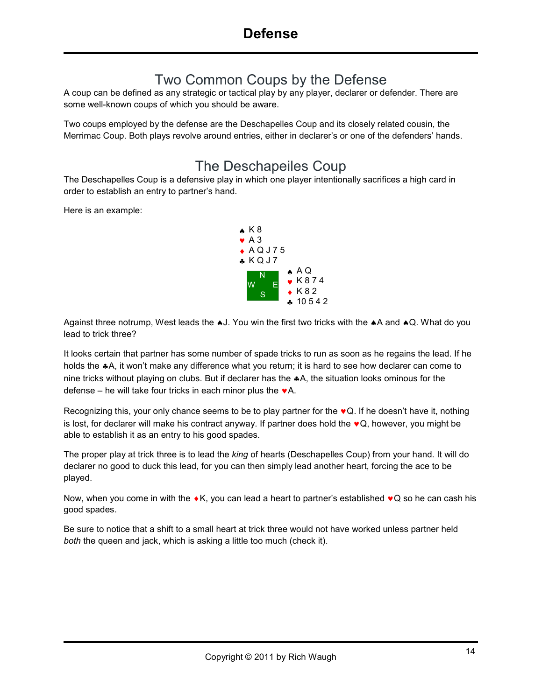#### Two Common Coups by the Defense

A coup can be defined as any strategic or tactical play by any player, declarer or defender. There are some well-known coups of which you should be aware.

Two coups employed by the defense are the Deschapelles Coup and its closely related cousin, the Merrimac Coup. Both plays revolve around entries, either in declarer's or one of the defenders' hands.

#### The Deschapeiles Coup

The Deschapelles Coup is a defensive play in which one player intentionally sacrifices a high card in order to establish an entry to partner's hand.

Here is an example:



Against three notrump, West leads the ♠J. You win the first two tricks with the ♠A and ♠Q. What do you lead to trick three?

It looks certain that partner has some number of spade tricks to run as soon as he regains the lead. If he holds the  $*A$ , it won't make any difference what you return; it is hard to see how declarer can come to nine tricks without playing on clubs. But if declarer has the ♣A, the situation looks ominous for the defense – he will take four tricks in each minor plus the  $\mathbf{v}$ A.

Recognizing this, your only chance seems to be to play partner for the  $\bullet Q$ . If he doesn't have it, nothing is lost, for declarer will make his contract anyway. If partner does hold the  $\bullet Q$ , however, you might be able to establish it as an entry to his good spades.

The proper play at trick three is to lead the *king* of hearts (Deschapelles Coup) from your hand. It will do declarer no good to duck this lead, for you can then simply lead another heart, forcing the ace to be played.

Now, when you come in with the  $\bullet$ K, you can lead a heart to partner's established  $\bullet$ Q so he can cash his good spades.

Be sure to notice that a shift to a small heart at trick three would not have worked unless partner held *both* the queen and jack, which is asking a little too much (check it).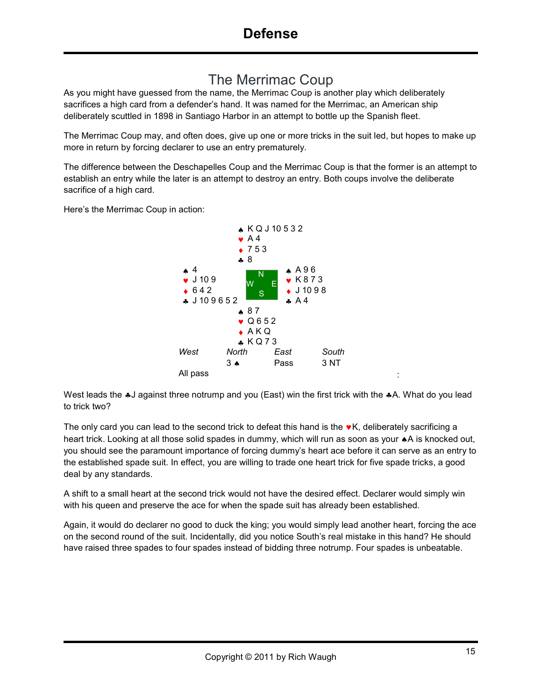#### The Merrimac Coup

As you might have guessed from the name, the Merrimac Coup is another play which deliberately sacrifices a high card from a defender's hand. It was named for the Merrimac, an American ship deliberately scuttled in 1898 in Santiago Harbor in an attempt to bottle up the Spanish fleet.

The Merrimac Coup may, and often does, give up one or more tricks in the suit led, but hopes to make up more in return by forcing declarer to use an entry prematurely.

The difference between the Deschapelles Coup and the Merrimac Coup is that the former is an attempt to establish an entry while the later is an attempt to destroy an entry. Both coups involve the deliberate sacrifice of a high card.

Here's the Merrimac Coup in action:



West leads the ⊕J against three notrump and you (East) win the first trick with the ⊕A. What do you lead to trick two?

The only card you can lead to the second trick to defeat this hand is the  $\bullet K$ , deliberately sacrificing a heart trick. Looking at all those solid spades in dummy, which will run as soon as your ♠A is knocked out, you should see the paramount importance of forcing dummy's heart ace before it can serve as an entry to the established spade suit. In effect, you are willing to trade one heart trick for five spade tricks, a good deal by any standards.

A shift to a small heart at the second trick would not have the desired effect. Declarer would simply win with his queen and preserve the ace for when the spade suit has already been established.

Again, it would do declarer no good to duck the king; you would simply lead another heart, forcing the ace on the second round of the suit. Incidentally, did you notice South's real mistake in this hand? He should have raised three spades to four spades instead of bidding three notrump. Four spades is unbeatable.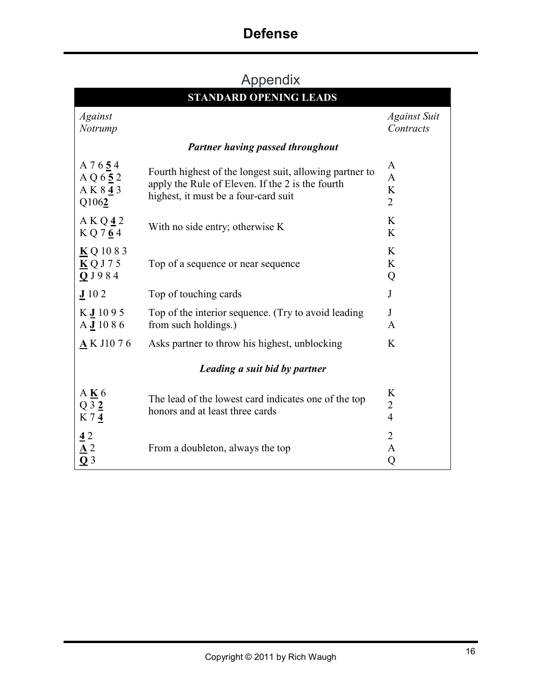# **Defense**

# Appendix

| <b>STANDARD OPENING LEADS</b>                                                  |                                                                                                                                                     |                                          |  |  |  |  |  |  |  |
|--------------------------------------------------------------------------------|-----------------------------------------------------------------------------------------------------------------------------------------------------|------------------------------------------|--|--|--|--|--|--|--|
| Against<br>Notrump                                                             |                                                                                                                                                     | <b>Against Suit</b><br>Contracts         |  |  |  |  |  |  |  |
| <b>Partner having passed throughout</b>                                        |                                                                                                                                                     |                                          |  |  |  |  |  |  |  |
| A 7 6 5 4<br>A Q 652<br>AK843<br>Q1062                                         | Fourth highest of the longest suit, allowing partner to<br>apply the Rule of Eleven. If the 2 is the fourth<br>highest, it must be a four-card suit | A<br>$\mathbf{A}$<br>K<br>$\overline{2}$ |  |  |  |  |  |  |  |
| AKQ42<br>KQ764                                                                 | With no side entry; otherwise K                                                                                                                     | K<br>K                                   |  |  |  |  |  |  |  |
| $\underline{\mathbf{K}}$ Q 10 8 3<br>$\underline{\mathbf{K}}$ Q J 7 5<br>QJ984 | Top of a sequence or near sequence                                                                                                                  | K<br>K<br>Q                              |  |  |  |  |  |  |  |
| J102                                                                           | Top of touching cards                                                                                                                               | $\bf J$                                  |  |  |  |  |  |  |  |
| $K$ J 1095<br>$A$ J 10 8 6                                                     | Top of the interior sequence. (Try to avoid leading<br>from such holdings.)                                                                         | J<br>$\mathbf{A}$                        |  |  |  |  |  |  |  |
| $\triangle$ K J1076                                                            | Asks partner to throw his highest, unblocking                                                                                                       | K                                        |  |  |  |  |  |  |  |
| Leading a suit bid by partner                                                  |                                                                                                                                                     |                                          |  |  |  |  |  |  |  |
| A K 6<br>$Q_3_2$<br>K74                                                        | The lead of the lowest card indicates one of the top<br>honors and at least three cards                                                             | K<br>$\overline{2}$<br>$\overline{4}$    |  |  |  |  |  |  |  |
| $\frac{4}{\Delta}$ $\frac{\Delta}{\Delta}$ $\frac{3}{\Delta}$                  | From a doubleton, always the top                                                                                                                    | $\overline{2}$<br>$\mathbf{A}$<br>Q      |  |  |  |  |  |  |  |